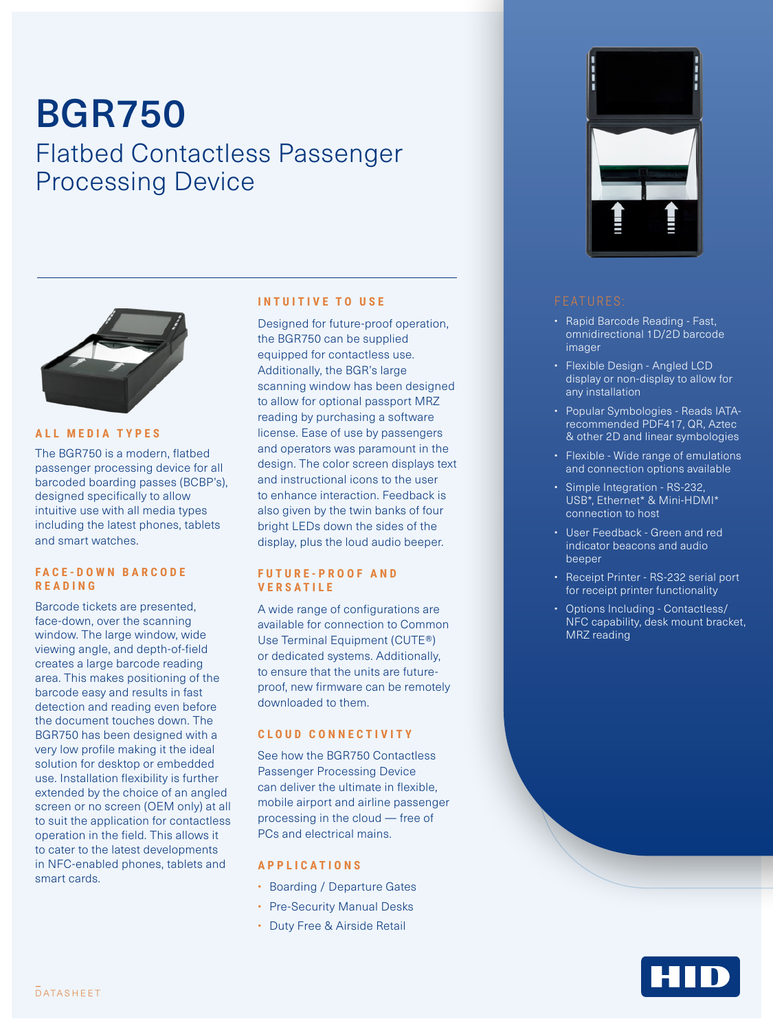# BGR750 Flatbed Contactless Passenger Processing Device



#### **ALL MEDIA TYPES**

The BGR750 is a modern, flatbed passenger processing device for all barcoded boarding passes (BCBP's), designed specifically to allow intuitive use with all media types including the latest phones, tablets and smart watches.

# **F A C E - D O W N B A R C O D E READING**

Barcode tickets are presented, face-down, over the scanning window. The large window, wide viewing angle, and depth-of-field creates a large barcode reading area. This makes positioning of the barcode easy and results in fast detection and reading even before the document touches down. The BGR750 has been designed with a very low profile making it the ideal solution for desktop or embedded use. Installation flexibility is further extended by the choice of an angled screen or no screen (OEM only) at all to suit the application for contactless operation in the field. This allows it to cater to the latest developments in NFC-enabled phones, tablets and smart cards.

### **INTUITIVE TO USE**

Designed for future-proof operation, the BGR750 can be supplied equipped for contactless use. Additionally, the BGR's large scanning window has been designed to allow for optional passport MRZ reading by purchasing a software license. Ease of use by passengers and operators was paramount in the design. The color screen displays text and instructional icons to the user to enhance interaction. Feedback is also given by the twin banks of four bright LEDs down the sides of the display, plus the loud audio beeper.

### **F U T U R E - P R O O F A N D VERSATILE**

A wide range of configurations are available for connection to Common Use Terminal Equipment (CUTE®) or dedicated systems. Additionally, to ensure that the units are futureproof, new firmware can be remotely downloaded to them.

## **C L O U D C O N N E C T I V I T Y**

See how the BGR750 Contactless Passenger Processing Device can deliver the ultimate in flexible, mobile airport and airline passenger processing in the cloud — free of PCs and electrical mains.

### **APPLICATIONS**

- Boarding / Departure Gates
- Pre-Security Manual Desks
- Duty Free & Airside Retail



- Rapid Barcode Reading Fast, omnidirectional 1D/2D barcode imager
- Flexible Design Angled LCD display or non-display to allow for any installation
- Popular Symbologies Reads IATArecommended PDF417, QR, Aztec & other 2D and linear symbologies
- Flexible Wide range of emulations and connection options available
- Simple Integration RS-232, USB\*, Ethernet\* & Mini-HDMI\* connection to host
- User Feedback Green and red indicator beacons and audio beeper
- Receipt Printer RS-232 serial port for receipt printer functionality
- Options Including Contactless/ NFC capability, desk mount bracket, MRZ reading